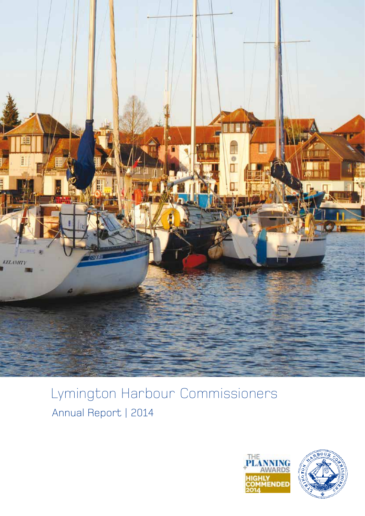

# Lymington Harbour Commissioners Annual Report | 2014

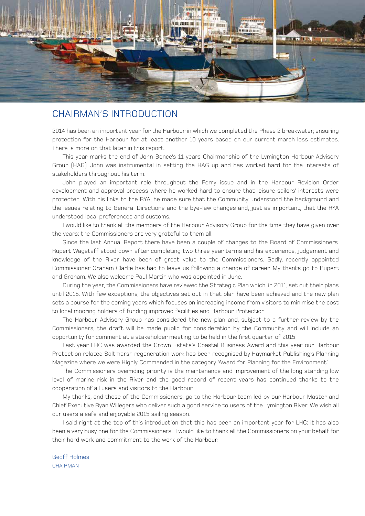

### CHAIRMAN'S INTRODUCTION

2014 has been an important year for the Harbour in which we completed the Phase 2 breakwater, ensuring protection for the Harbour for at least another 10 years based on our current marsh loss estimates. There is more on that later in this report.

This year marks the end of John Bence's 11 years Chairmanship of the Lymington Harbour Advisory Group (HAG). John was instrumental in setting the HAG up and has worked hard for the interests of stakeholders throughout his term.

John played an important role throughout the Ferry issue and in the Harbour Revision Order development and approval process where he worked hard to ensure that leisure sailors' interests were protected. With his links to the RYA, he made sure that the Community understood the background and the issues relating to General Directions and the bye-law changes and, just as important, that the RYA understood local preferences and customs.

I would like to thank all the members of the Harbour Advisory Group for the time they have given over the years: the Commissioners are very grateful to them all.

Since the last Annual Report there have been a couple of changes to the Board of Commissioners. Rupert Wagstaff stood down after completing two three year terms and his experience, judgement and knowledge of the River have been of great value to the Commissioners. Sadly, recently appointed Commissioner Graham Clarke has had to leave us following a change of career. My thanks go to Rupert and Graham. We also welcome Paul Martin who was appointed in June.

During the year, the Commissioners have reviewed the Strategic Plan which, in 2011, set out their plans until 2015. With few exceptions, the objectives set out in that plan have been achieved and the new plan sets a course for the coming years which focuses on increasing income from visitors to minimise the cost to local mooring holders of funding improved facilities and Harbour Protection.

The Harbour Advisory Group has considered the new plan and, subject to a further review by the Commissioners, the draft will be made public for consideration by the Community and will include an opportunity for comment at a stakeholder meeting to be held in the first quarter of 2015.

Last year LHC was awarded the Crown Estate's Coastal Business Award and this year our Harbour Protection related Saltmarsh regeneration work has been recognised by Haymarket Publishing's Planning Magazine where we were Highly Commended in the category 'Award for Planning for the Environment'.

The Commissioners overriding priority is the maintenance and improvement of the long standing low level of marine risk in the River and the good record of recent years has continued thanks to the cooperation of all users and visitors to the Harbour.

My thanks, and those of the Commissioners, go to the Harbour team led by our Harbour Master and Chief Executive Ryan Willegers who deliver such a good service to users of the Lymington River. We wish all our users a safe and enjoyable 2015 sailing season.

I said right at the top of this introduction that this has been an important year for LHC: it has also been a very busy one for the Commissioners. I would like to thank all the Commissioners on your behalf for their hard work and commitment to the work of the Harbour.

Geoff Holmes CHAIRMAN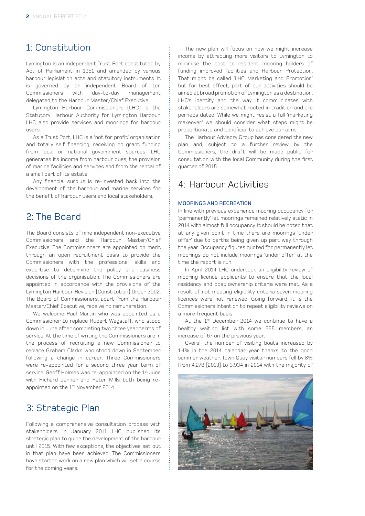### 1: Constitution

Lymington is an independent Trust Port constituted by Act of Parliament in 1951 and amended by various harbour legislation acts and statutory instruments. It is governed by an independent Board of ten Commissioners with day-to-day management delegated to the Harbour Master/Chief Executive.

Lymington Harbour Commissioners (LHC) is the Statutory Harbour Authority for Lymington Harbour. LHC also provide services and moorings for harbour users.

As a Trust Port, LHC is a 'not for profit' organisation and totally self financing, receiving no grant funding from local or national government sources. LHC generates its income from harbour dues, the provision of marine facilities and services and from the rental of a small part of its estate.

Any financial surplus is re-invested back into the development of the harbour and marine services for the benefit of harbour users and local stakeholders.

### 2: The Board

The Board consists of nine independent non-executive Commissioners and the Harbour Master/Chief Executive. The Commissioners are appointed on merit through an open recruitment basis to provide the Commissioners with the professional skills and expertise to determine the policy and business decisions of the organisation. The Commissioners are appointed in accordance with the provisions of the Lymington Harbour Revision (Constitution) Order 2002. The Board of Commissioners, apart from the Harbour Master/Chief Executive, receive no remuneration.

We welcome Paul Martin who was appointed as a Commissioner to replace Rupert Wagstaff, who stood down in June after completing two three year terms of service. At the time of writing the Commissioners are in the process of recruiting a new Commissioner to replace Graham Clarke who stood down in September following a change in career. Three Commissioners were re-appointed for a second three year term of service. Geoff Holmes was re-appointed on the 1<sup>st</sup> June with Richard Jenner and Peter Mills both being reappointed on the 1st November 2014.

## 3: Strategic Plan

Following a comprehensive consultation process with stakeholders in January 2011 LHC published its strategic plan to guide the development of the harbour until 2015. With few exceptions, the objectives set out in that plan have been achieved. The Commissioners have started work on a new plan which will set a course for the coming years.

The new plan will focus on how we might increase income by attracting more visitors to Lymington to minimise the cost to resident mooring holders of funding improved facilities and Harbour Protection. That might be called 'LHC Marketing and Promotion' but for best effect, part of our activities should be aimed at broad promotion of Lymington as a destination. LHC's identity and the way it communicates with stakeholders are somewhat rooted in tradition and are perhaps dated. While we might resist a full 'marketing makeover' we should consider what steps might be proportionate and beneficial to achieve our aims.

The Harbour Advisory Group has considered the new plan and, subject to a further review by the Commissioners, the draft will be made public for consultation with the local Community during the first quarter of 2015.

### 4: Harbour Activities

### MOORINGS AND RECREATION

In line with previous experience mooring occupancy for 'permanently' let moorings remained relatively static in 2014 with almost full occupancy. It should be noted that at any given point in time there are moorings 'under offer' due to berths being given up part way through the year. Occupancy figures quoted for permanently let moorings do not include moorings 'under offer' at the time the report is run.

In April 2014 LHC undertook an eligibility review of mooring licence applicants to ensure that the local residency and boat ownership criteria were met. As a result of not meeting eligibility criteria seven mooring licences were not renewed. Going forward, it is the Commissioners intention to repeat eligibility reviews on a more frequent hasis.

At the 1<sup>st</sup> December 2014 we continue to have a healthy waiting list with some 555 members, an increase of 67 on the previous year.

Overall the number of visiting boats increased by 1.4% in the 2014 calendar year thanks to the good summer weather. Town Quay visitor numbers fell by 8% from 4,278 (2013) to 3,934 in 2014 with the majority of

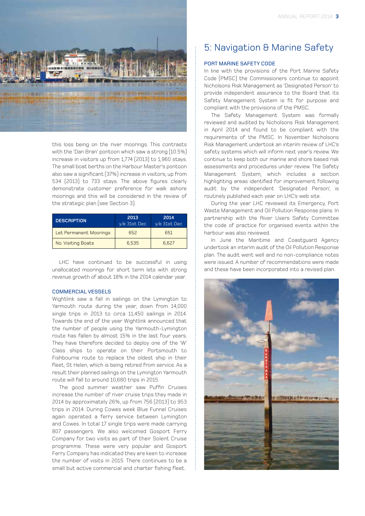

this loss being on the river moorings. This contrasts with the 'Dan Bran' pontoon which saw a strong (10.5%) increase in visitors up from 1,774 (2013) to 1,960 stays. The small boat berths on the Harbour Master's pontoon also saw a significant (37%) increase in visitors, up from 534 (2013) to 733 stays. The above figures clearly demonstrate customer preference for walk ashore moorings and this will be considered in the review of the strategic plan (see Section 3).

| <b>DESCRIPTION</b>     | 2013<br>$v/e$ 31st Dec | 2014<br>$y/e$ 31st Dec |
|------------------------|------------------------|------------------------|
| Let Permanent Moorings | 652                    | 651                    |
| No. Visiting Boats     | 6.535                  | 6.627                  |

LHC have continued to be successful in using unallocated moorings for short term lets with strong revenue growth of about 18% in the 2014 calendar year.

#### COMMERCIAL VESSELS

Wightlink saw a fall in sailings on the Lymington to Yarmouth route during the year, down from 14,000 single trips in 2013 to circa 11,450 sailings in 2014. Towards the end of the year Wightlink announced that the number of people using the Yarmouth-Lymington route has fallen by almost 15% in the last four years. They have therefore decided to deploy one of the 'W' Class ships to operate on their Portsmouth to Fishbourne route to replace the oldest ship in their fleet, St Helen, which is being retired from service. As a result their planned sailings on the Lymington Yarmouth route will fall to around 10,680 trips in 2015.

The good summer weather saw Puffin Cruises increase the number of river cruise trips they made in 2014 by approximately 26%, up from 756 (2013) to 953 trips in 2014. During Cowes week Blue Funnel Cruises again operated a ferry service between Lymington and Cowes. In total 17 single trips were made carrying 807 passengers. We also welcomed Gosport Ferry Company for two visits as part of their Solent Cruise programme. These were very popular and Gosport Ferry Company has indicated they are keen to increase the number of visits in 2015. There continues to be a small but active commercial and charter fishing fleet.

# 5: Navigation & Marine Safety

### PORT MARINE SAFETY CODE

In line with the provisions of the Port Marine Safety Code (PMSC) the Commissioners continue to appoint Nicholsons Risk Management as 'Designated Person' to provide independent assurance to the Board that its Safety Management System is fit for purpose and compliant with the provisions of the PMSC.

The Safety Management System was formally reviewed and audited by Nicholsons Risk Management in April 2014 and found to be compliant with the requirements of the PMSC. In November Nicholsons Risk Management undertook an interim review of LHC's safety systems which will inform next year's review. We continue to keep both our marine and shore based risk assessments and procedures under review. The Safety Management System, which includes a section highlighting areas identified for improvement following audit by the independent 'Designated Person', is routinely published each year on LHC's web site.

During the year LHC reviewed its Emergency, Port Waste Management and Oil Pollution Response plans. In partnership with the River Users Safety Committee the code of practice for organised events within the harbour was also reviewed.

In June the Maritime and Coastguard Agency undertook an interim audit of the Oil Pollution Response plan. The audit went well and no non-compliance notes were issued. A number of recommendations were made and these have been incorporated into a revised plan.

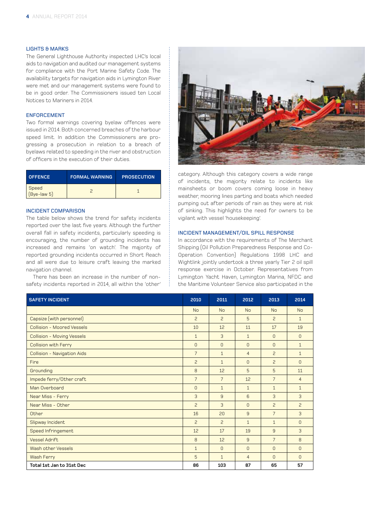### LIGHTS & MARKS

The General Lighthouse Authority inspected LHC's local aids to navigation and audited our management systems for compliance with the Port Marine Safety Code. The availability targets for navigation aids in Lymington River were met and our management systems were found to be in good order. The Commissioners issued ten Local Notices to Mariners in 2014.

### ENFORCEMENT

Two formal warnings covering byelaw offences were issued in 2014. Both concerned breaches of the harbour speed limit. In addition the Commissioners are progressing a prosecution in relation to a breach of byelaws related to speeding in the river and obstruction of officers in the execution of their duties.

| <b>OFFENCE</b>         | <b>FORMAL WARNING</b> | <b>PROSECUTION</b> |
|------------------------|-----------------------|--------------------|
| Speed<br>$(Bye-law 5)$ |                       |                    |

### INCIDENT COMPARISON

The table below shows the trend for safety incidents reported over the last five years. Although the further overall fall in safety incidents, particularly speeding is encouraging, the number of grounding incidents has increased and remains 'on watch'. The majority of reported grounding incidents occurred in Short Reach and all were due to leisure craft leaving the marked navigation channel.

There has been an increase in the number of nonsafety incidents reported in 2014, all within the 'other'



category. Although this category covers a wide range of incidents, the majority relate to incidents like mainsheets or boom covers coming loose in heavy weather, mooring lines parting and boats which needed pumping out after periods of rain as they were at risk of sinking. This highlights the need for owners to be vigilant with vessel 'housekeeping'.

### INCIDENT MANAGEMENT/OIL SPILL RESPONSE

In accordance with the requirements of The Merchant Shipping (Oil Pollution Preparedness Response and Co-Operation Convention) Regulations 1998 LHC and Wightlink jointly undertook a three yearly Tier 2 oil spill response exercise in October. Representatives from Lymington Yacht Haven, Lymington Marina, NFDC and the Maritime Volunteer Service also participated in the

| <b>SAFETY INCIDENT</b>      | 2010           | 2011           | 2012           | 2013           | 2014           |
|-----------------------------|----------------|----------------|----------------|----------------|----------------|
|                             | <b>No</b>      | <b>No</b>      | <b>No</b>      | <b>No</b>      | <b>No</b>      |
| Capsize (with personnel)    | $\overline{c}$ | $\overline{c}$ | 5              | $\overline{c}$ | $\mathbf{1}$   |
| Collision - Moored Vessels  | 10             | 12             | 11             | 17             | 19             |
| Collision - Moving Vessels  | $\mathbf{1}$   | 3              | $\mathbf{1}$   | $\overline{0}$ | $\Omega$       |
| <b>Collision with Ferry</b> | $\Omega$       | $\Omega$       | $\Omega$       | $\overline{0}$ | $\mathbf{1}$   |
| Collision - Navigation Aids | $\overline{7}$ | $\mathbf{1}$   | $\overline{4}$ | $\overline{c}$ | $\mathbf{1}$   |
| Fire                        | $\overline{c}$ | $\mathbf{1}$   | $\Omega$       | $\overline{c}$ | $\Omega$       |
| Grounding                   | 8              | 12             | 5              | 5              | 11             |
| Impede ferry/Other craft    | $\overline{7}$ | $\overline{7}$ | 12             | $\overline{7}$ | $\overline{4}$ |
| Man Overboard               | $\mathbf{0}$   | $\mathbf{1}$   | $\mathbf{1}$   | $\mathbf{1}$   | $\mathbf{1}$   |
| Near Miss - Ferry           | 3              | 9              | 6              | 3              | 3              |
| Near Miss - Other           | $\overline{c}$ | 3              | $\Omega$       | $\overline{c}$ | $\overline{c}$ |
| Other                       | 16             | 20             | 9              | $\overline{7}$ | 3              |
| Slipway Incident            | $\overline{c}$ | $\overline{c}$ | $\mathbf{1}$   | $\mathbf{1}$   | $\Omega$       |
| Speed Infringement          | 12             | 17             | 19             | 9              | 3              |
| <b>Vessel Adrift</b>        | $\mathsf{B}$   | 12             | 9              | $\overline{7}$ | $\mathsf{B}$   |
| Wash other Vessels          | $\mathbf{1}$   | $\Omega$       | $\overline{0}$ | $\overline{0}$ | $\mathbf{0}$   |
| Wash Ferry                  | 5              | $\mathbf{1}$   | $\overline{4}$ | $\Omega$       | $\Omega$       |
| Total 1st Jan to 31st Dec   | 86             | 103            | 87             | 65             | 57             |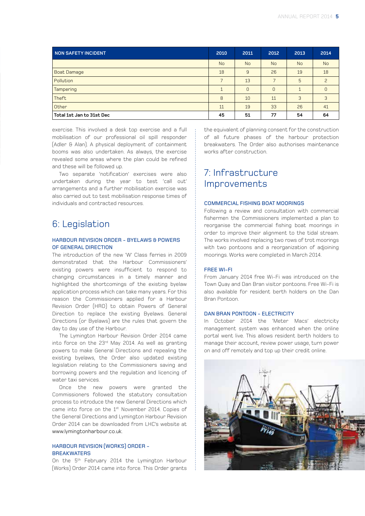| NON SAFETY INCIDENT       | 2010           | 2011           | 2012           | 2013         | 2014      |
|---------------------------|----------------|----------------|----------------|--------------|-----------|
|                           | <b>No</b>      | N <sub>o</sub> | <b>No</b>      | <b>No</b>    | <b>No</b> |
| <b>Boat Damage</b>        | 18             | 9              | 26             | 19           | 18        |
| Pollution                 | $\overline{7}$ | 13             |                | 5            | 2         |
| <b>Tampering</b>          | $\mathbf{1}$   | $\mathbf{0}$   | $\overline{0}$ | $\mathbf{1}$ | $\Omega$  |
| Theft                     | 8              | 10             | 11             | 3            | 3         |
| Other                     | 11             | 19             | 33             | 26           | 41        |
| Total 1st Jan to 31st Dec | 45             | 51             | 77             | 54           | 64        |

exercise. This involved a desk top exercise and a full mobilisation of our professional oil spill responder (Adler & Alan). A physical deployment of containment booms was also undertaken. As always, the exercise revealed some areas where the plan could be refined and these will be followed up.

Two separate 'notification' exercises were also undertaken during the year to test 'call out' arrangements and a further mobilisation exercise was also carried out to test mobilisation response times of individuals and contracted resources.

### 6: Legislation

### HARBOUR REVISION ORDER - BYELAWS & POWERS OF GENERAL DIRECTION

The introduction of the new 'W' Class ferries in 2009 demonstrated that the Harbour Commissioners' existing powers were insufficient to respond to changing circumstances in a timely manner and highlighted the shortcomings of the existing byelaw application process which can take many years. For this reason the Commissioners applied for a Harbour Revision Order (HRO) to obtain Powers of General Direction to replace the existing Byelaws. General Directions (or Byelaws) are the rules that govern the day to day use of the Harbour.

The Lymington Harbour Revision Order 2014 came into force on the 23rd May 2014. As well as granting powers to make General Directions and repealing the existing byelaws, the Order also updated existing legislation relating to the Commissioners saving and borrowing powers and the regulation and licencing of water taxi services.

Once the new powers were granted the Commissioners followed the statutory consultation process to introduce the new General Directions which came into force on the 1<sup>st</sup> November 2014. Copies of the General Directions and Lymington Harbour Revision Order 2014 can be downloaded from LHC's website at www.lymingtonharbour.co.uk.

### HARBOUR REVISION (WORKS) ORDER - **BREAKWATERS**

On the 5<sup>th</sup> February 2014 the Lymington Harbour (Works) Order 2014 came into force. This Order grants the equivalent of planning consent for the construction of all future phases of the harbour protection breakwaters. The Order also authorises maintenance works after construction.

# 7: Infrastructure **Improvements**

### COMMERCIAL FISHING BOAT MOORINGS

Following a review and consultation with commercial fishermen the Commissioners implemented a plan to reorganise the commercial fishing boat moorings in order to improve their alignment to the tidal stream. The works involved replacing two rows of trot moorings with two pontoons and a reorganization of adjoining moorings. Works were completed in March 2014.

### FREE WI-FI

From January 2014 free Wi-Fi was introduced on the Town Quay and Dan Bran visitor pontoons. Free Wi-Fi is also available for resident berth holders on the Dan Bran Pontoon.

### DAN BRAN PONTOON - ELECTRICITY

In October 2014 the 'Meter Macs' electricity management system was enhanced when the online portal went live. This allows resident berth holders to manage their account, review power usage, turn power on and off remotely and top up their credit online.

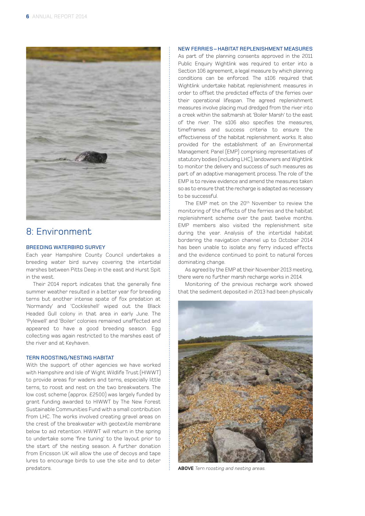

### 8: Environment

### BREEDING WATERBIRD SURVEY

Each year Hampshire County Council undertakes a breeding water bird survey covering the intertidal marshes between Pitts Deep in the east and Hurst Spit in the west.

Their 2014 report indicates that the generally fine summer weather resulted in a better year for breeding terns but another intense spate of fox predation at 'Normandy' and 'Cockleshell' wiped out the Black Headed Gull colony in that area in early June. The 'Pylewell' and 'Boiler' colonies remained unaffected and appeared to have a good breeding season. Egg collecting was again restricted to the marshes east of the river and at Keyhaven.

### TERN ROOSTING/NESTING HABITAT

With the support of other agencies we have worked with Hampshire and Isle of Wight Wildlife Trust (HIWWT) to provide areas for waders and terns, especially little terns, to roost and nest on the two breakwaters. The low cost scheme (approx. £2500) was largely funded by grant funding awarded to HIWWT by The New Forest Sustainable Communities Fund with a small contribution from LHC. The works involved creating gravel areas on the crest of the breakwater with geotextile membrane below to aid retention. HIWWT will return in the spring to undertake some 'fine tuning' to the layout prior to the start of the nesting season. A further donation from Ericsson UK will allow the use of decoys and tape lures to encourage birds to use the site and to deter predators.

### NEW FERRIES – HABITAT REPLENISHMENT MEASURES

As part of the planning consents approved in the 2011 Public Enquiry Wightlink was required to enter into a Section 106 agreement, a legal measure by which planning conditions can be enforced. The s106 required that Wightlink undertake habitat replenishment measures in order to offset the predicted effects of the ferries over their operational lifespan. The agreed replenishment measures involve placing mud dredged from the river into a creek within the saltmarsh at 'Boiler Marsh' to the east of the river. The s106 also specifies the measures, timeframes and success criteria to ensure the effectiveness of the habitat replenishment works. It also provided for the establishment of an Environmental Management Panel (EMP) comprising representatives of statutory bodies (including LHC), landowners and Wightlink to monitor the delivery and success of such measures as part of an adaptive management process. The role of the EMP is to review evidence and amend the measures taken so as to ensure that the recharge is adapted as necessary to be successful.

The EMP met on the 20<sup>th</sup> November to review the monitoring of the effects of the ferries and the habitat replenishment scheme over the past twelve months. EMP members also visited the replenishment site during the year. Analysis of the intertidal habitat bordering the navigation channel up to October 2014 has been unable to isolate any ferry induced effects and the evidence continued to point to natural forces dominating change.

As agreed by the EMP at their November 2013 meeting, there were no further marsh recharge works in 2014.

Monitoring of the previous recharge work showed that the sediment deposited in 2013 had been physically



**ABOVE** Tern roosting and nesting areas.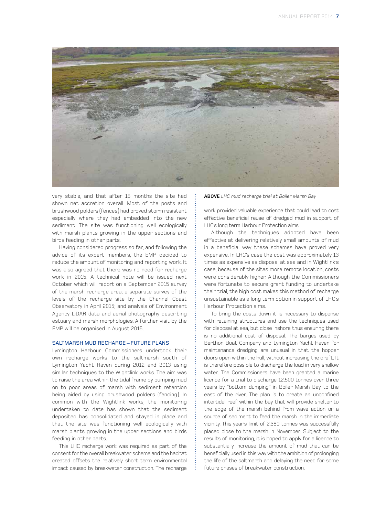

very stable, and that after 18 months the site had shown net accretion overall. Most of the posts and brushwood polders (fences) had proved storm resistant especially where they had embedded into the new sediment. The site was functioning well ecologically with marsh plants growing in the upper sections and birds feeding in other parts.

Having considered progress so far, and following the advice of its expert members, the EMP decided to reduce the amount of monitoring and reporting work. It was also agreed that there was no need for recharge work in 2015. A technical note will be issued next October which will report on a September 2015 survey of the marsh recharge area; a separate survey of the levels of the recharge site by the Channel Coast Observatory in April 2015; and analysis of Environment Agency LiDAR data and aerial photography describing estuary and marsh morphologies. A further visit by the EMP will be organised in August 2015.

### SALTMARSH MUD RECHARGE – FUTURE PLANS

Lymington Harbour Commissioners undertook their own recharge works to the saltmarsh south of Lymington Yacht Haven during 2012 and 2013 using similar techniques to the Wightlink works. The aim was to raise the area within the tidal frame by pumping mud on to poor areas of marsh with sediment retention being aided by using brushwood polders (fencing). In common with the Wightlink works, the monitoring undertaken to date has shown that the sediment deposited has consolidated and stayed in place and that the site was functioning well ecologically with marsh plants growing in the upper sections and birds feeding in other parts.

This LHC recharge work was required as part of the consent for the overall breakwater scheme and the habitat created offsets the relatively short term environmental impact caused by breakwater construction. The recharge **ABOVE** LHC mud recharge trial at Boiler Marsh Bay.

work provided valuable experience that could lead to cost effective beneficial reuse of dredged mud in support of LHC's long term Harbour Protection aims.

Although the techniques adopted have been effective at delivering relatively small amounts of mud in a beneficial way these schemes have proved very expensive. In LHC's case the cost was approximately 13 times as expensive as disposal at sea and in Wightlink's case, because of the sites more remote location, costs were considerably higher. Although the Commissioners were fortunate to secure grant funding to undertake their trial, the high cost makes this method of recharge unsustainable as a long term option in support of LHC's Harbour Protection aims.

To bring the costs down it is necessary to dispense with retaining structures and use the techniques used for disposal at sea, but close inshore thus ensuring there is no additional cost of disposal. The barges used by Berthon Boat Company and Lymington Yacht Haven for maintenance dredging are unusual in that the hopper doors open within the hull, without increasing the draft. It is therefore possible to discharge the load in very shallow water. The Commissioners have been granted a marine licence for a trial to discharge 12,500 tonnes over three years by "bottom dumping" in Boiler Marsh Bay to the east of the river. The plan is to create an unconfined intertidal reef within the bay that will provide shelter to the edge of the marsh behind from wave action or a source of sediment to feed the marsh in the immediate vicinity. This year's limit of 2,380 tonnes was successfully placed close to the marsh in November. Subject to the results of monitoring, it is hoped to apply for a licence to substantially increase the amount of mud that can be beneficially used in this way with the ambition of prolonging the life of the saltmarsh and delaying the need for some future phases of breakwater construction.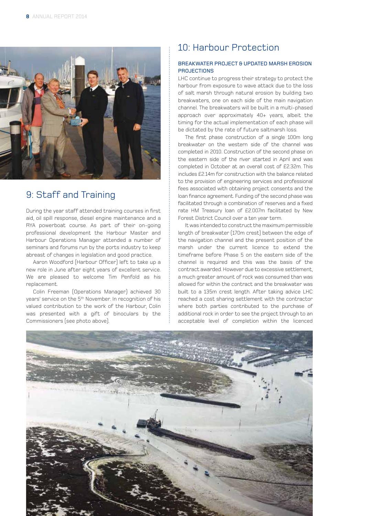

# 9: Staff and Training

During the year staff attended training courses in first aid, oil spill response, diesel engine maintenance and a RYA powerboat course. As part of their on-going professional development the Harbour Master and Harbour Operations Manager attended a number of seminars and forums run by the ports industry to keep abreast of changes in legislation and good practice.

Aaron Woodford (Harbour Officer) left to take up a new role in June after eight years of excellent service. We are pleased to welcome Tim Penfold as his replacement.

Colin Freeman (Operations Manager) achieved 30 years' service on the 5<sup>th</sup> November. In recognition of his valued contribution to the work of the Harbour, Colin was presented with a gift of binoculars by the Commissioners (see photo above).

# 10: Harbour Protection

### BREAKWATER PROJECT & UPDATED MARSH EROSION **PROJECTIONS**

LHC continue to progress their strategy to protect the harbour from exposure to wave attack due to the loss of salt marsh through natural erosion by building two breakwaters, one on each side of the main navigation channel. The breakwaters will be built in a multi-phased approach over approximately 40+ years, albeit the timing for the actual implementation of each phase will be dictated by the rate of future saltmarsh loss.

The first phase construction of a single 100m long breakwater on the western side of the channel was completed in 2010. Construction of the second phase on the eastern side of the river started in April and was completed in October at an overall cost of £2.32m. This includes £2.14m for construction with the balance related to the provision of engineering services and professional fees associated with obtaining project consents and the loan finance agreement. Funding of the second phase was facilitated through a combination of reserves and a fixed rate HM Treasury loan of £2.007m facilitated by New Forest District Council over a ten year term.

It was intended to construct the maximum permissible length of breakwater (170m crest) between the edge of the navigation channel and the present position of the marsh under the current licence to extend the timeframe before Phase 5 on the eastern side of the channel is required and this was the basis of the contract awarded. However due to excessive settlement, a much greater amount of rock was consumed than was allowed for within the contract and the breakwater was built to a 135m crest length. After taking advice LHC reached a cost sharing settlement with the contractor where both parties contributed to the purchase of additional rock in order to see the project through to an acceptable level of completion within the licenced

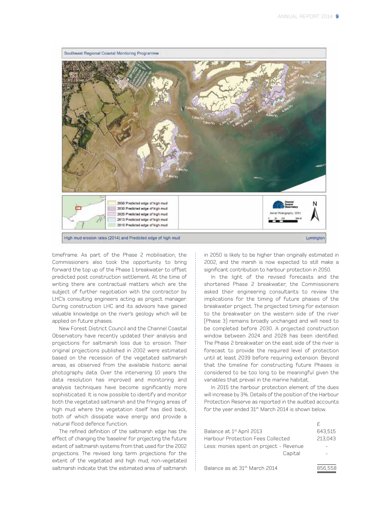

timeframe. As part of the Phase 2 mobilisation, the Commissioners also took the opportunity to bring forward the top up of the Phase 1 breakwater to offset predicted post construction settlement. At the time of writing there are contractual matters which are the subject of further negotiation with the contractor by LHC's consulting engineers acting as project manager. During construction LHC and its advisors have gained valuable knowledge on the river's geology which will be applied on future phases.

New Forest District Council and the Channel Coastal Observatory have recently updated their analysis and projections for saltmarsh loss due to erosion. Their original projections published in 2002 were estimated based on the recession of the vegetated saltmarsh areas, as observed from the available historic aerial photography data. Over the intervening 10 years the data resolution has improved and monitoring and analysis techniques have become significantly more sophisticated. It is now possible to identify and monitor both the vegetated saltmarsh and the fringing areas of high mud where the vegetation itself has died back, both of which dissipate wave energy and provide a natural flood defence function.

The refined definition of the saltmarsh edge has the effect of changing the 'baseline' for projecting the future extent of saltmarsh systems from that used for the 2002 projections. The revised long term projections for the extent of the vegetated and high mud, non-vegetated saltmarsh indicate that the estimated area of saltmarsh in 2050 is likely to be higher than originally estimated in 2002, and the marsh is now expected to still make a significant contribution to harbour protection in 2050.

In the light of the revised forecasts and the shortened Phase 2 breakwater, the Commissioners asked their engineering consultants to review the implications for the timing of future phases of the breakwater project. The projected timing for extension to the breakwater on the western side of the river (Phase 3) remains broadly unchanged and will need to be completed before 2030. A projected construction window between 2024 and 2028 has been identified. The Phase 2 breakwater on the east side of the river is forecast to provide the required level of protection until at least 2039 before requiring extension. Beyond that the timeline for constructing future Phases is considered to be too long to be meaningful given the variables that prevail in the marine habitat.

In 2015 the harbour protection element of the dues will increase by 3%. Details of the position of the Harbour Protection Reserve as reported in the audited accounts for the year ended 31<sup>st</sup> March 2014 is shown below.

| Balance at 1 <sup>st</sup> April 2013   | 643,515 |
|-----------------------------------------|---------|
| Harbour Protection Fees Collected       | 213,043 |
| Less: monies spent on project - Revenue |         |
| Capital                                 |         |
|                                         |         |
|                                         | OEO EEO |

Balance as at  $31^{st}$  March 2014  $856,558$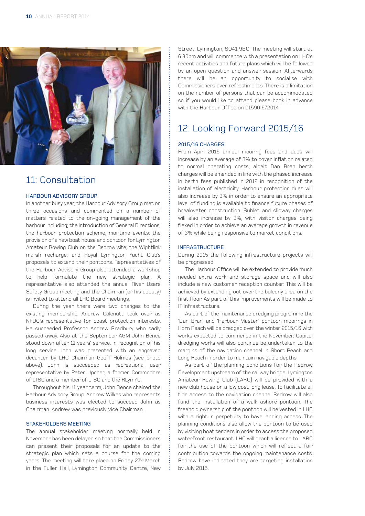

### 11: Consultation

#### HARBOUR ADVISORY GROUP

In another busy year, the Harbour Advisory Group met on three occasions and commented on a number of matters related to the on-going management of the harbour including; the introduction of General Directions; the harbour protection scheme; maritime events; the provision of a new boat house and pontoon for Lymington Amateur Rowing Club on the Redrow site; the Wightlink marsh recharge; and Royal Lymington Yacht Club's proposals to extend their pontoons. Representatives of the Harbour Advisory Group also attended a workshop to help formulate the new strategic plan. A representative also attended the annual River Users Safety Group meeting and the Chairman (or his deputy) is invited to attend all LHC Board meetings.

During the year there were two changes to the existing membership. Andrew Colenutt took over as NFDC's representative for coast protection interests. He succeeded Professor Andrew Bradbury who sadly passed away. Also at the September AGM John Bence stood down after 11 years' service. In recognition of his long service John was presented with an engraved decanter by LHC Chairman Geoff Holmes (see photo above). John is succeeded as recreational user representative by Peter Upcher, a former Commodore of LTSC and a member of LTSC and the RLymYC.

Throughout his 11 year term, John Bence chaired the Harbour Advisory Group. Andrew Wilkes who represents business interests was elected to succeed John as Chairman. Andrew was previously Vice Chairman.

### STAKEHOLDERS MEETING

The annual stakeholder meeting normally held in November has been delayed so that the Commissioners can present their proposals for an update to the strategic plan which sets a course for the coming years. The meeting will take place on Friday 27<sup>th</sup> March in the Fuller Hall, Lymington Community Centre, New

Street, Lymington, SO41 9BQ. The meeting will start at 6.30pm and will commence with a presentation on LHC's recent activities and future plans which will be followed by an open question and answer session. Afterwards there will be an opportunity to socialise with Commissioners over refreshments. There is a limitation on the number of persons that can be accommodated so if you would like to attend please book in advance with the Harbour Office on 01590 672014.

## 12: Looking Forward 2015/16

### 2015/16 CHARGES

From April 2015 annual mooring fees and dues will increase by an average of 3% to cover inflation related to normal operating costs, albeit Dan Bran berth charges will be amended in line with the phased increase in berth fees published in 2012 in recognition of the installation of electricity. Harbour protection dues will also increase by 3% in order to ensure an appropriate level of funding is available to finance future phases of breakwater construction. Sublet and slipway charges will also increase by 3%, with visitor charges being flexed in order to achieve an average growth in revenue of 3% while being responsive to market conditions.

#### INFRASTRUCTURE

During 2015 the following infrastructure projects will be progressed.

The Harbour Office will be extended to provide much needed extra work and storage space and will also include a new customer reception counter. This will be achieved by extending out over the balcony area on the first floor. As part of this improvements will be made to IT infrastructure.

As part of the maintenance dredging programme the 'Dan Bran' and 'Harbour Master' pontoon moorings in Horn Reach will be dredged over the winter 2015/16 with works expected to commence in the November. Capital dredging works will also continue be undertaken to the margins of the navigation channel in Short Reach and Long Reach in order to maintain navigable depths.

As part of the planning conditions for the Redrow Development upstream of the railway bridge, Lymington Amateur Rowing Club (LARC) will be provided with a new club house on a low cost long lease. To facilitate all tide access to the navigation channel Redrow will also fund the installation of a walk ashore pontoon. The freehold ownership of the pontoon will be vested in LHC with a right in perpetuity to have landing access. The planning conditions also allow the pontoon to be used by visiting boat tenders in order to access the proposed waterfront restaurant. LHC will grant a licence to LARC for the use of the pontoon which will reflect a fair contribution towards the ongoing maintenance costs. Redrow have indicated they are targeting installation by July 2015.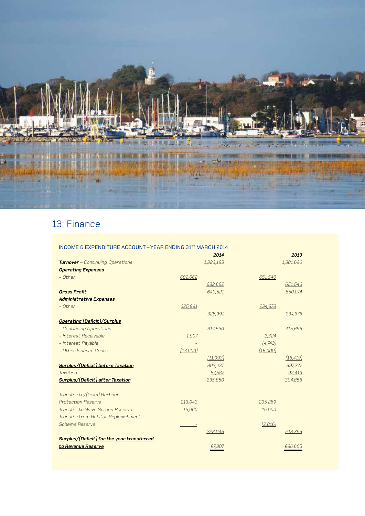

# 13: Finance

| <b>INCOME &amp; EXPENDITURE ACCOUNT - YEAR ENDING 31ST MARCH 2014</b> |          |           |          |           |
|-----------------------------------------------------------------------|----------|-----------|----------|-----------|
|                                                                       |          | 2014      |          | 2013      |
| <b>Turnover</b> - Continuing Operations                               |          | 1,323,183 |          | 1,301,620 |
| <b>Operating Expenses</b>                                             |          |           |          |           |
| $-$ Other                                                             | 682,662  |           | 651,546  |           |
|                                                                       |          | 682,662   |          | 651,546   |
| <b>Gross Profit</b>                                                   |          | 640,521   |          | 650,074   |
| <b>Administrative Expenses</b>                                        |          |           |          |           |
| - Other                                                               | 325,991  |           | 234,378  |           |
|                                                                       |          | 325,991   |          | 234,378   |
| <b>Operating (Deficit)/Surplus</b>                                    |          |           |          |           |
| - Continuing Operations                                               |          | 314,530   |          | 415,696   |
| - Interest Receivable                                                 | 1,907    |           | 2,324    |           |
| - Interest Payable                                                    |          |           | [4,743]  |           |
| - Other Finance Costs                                                 | (13,000) |           | (16,000) |           |
|                                                                       |          | [11,093]  |          | [18, 419] |
| Surplus/(Deficit) before Taxation                                     |          | 303,437   |          | 397,277   |
| Taxation                                                              |          | 67,587    |          | 92,419    |
| Surplus/(Deficit) after Taxation                                      |          | 235,850   |          | 304,858   |
|                                                                       |          |           |          |           |
| Transfer to/(from) Harbour                                            |          |           |          |           |
| <b>Protection Reserve</b>                                             | 213,043  |           | 205,269  |           |
| Transfer to Wave Screen Reserve                                       | 15,000   |           | 15,000   |           |
| Transfer from Habitat Replenishment                                   |          |           |          |           |
| <b>Scheme Reserve</b>                                                 |          |           | [2,016]  |           |
|                                                                       |          | 228,043   |          | 218,253   |
| Surplus/(Deficit) for the year transferred                            |          |           |          |           |
| to Revenue Reserve                                                    |          | £7,807    |          | £86,605   |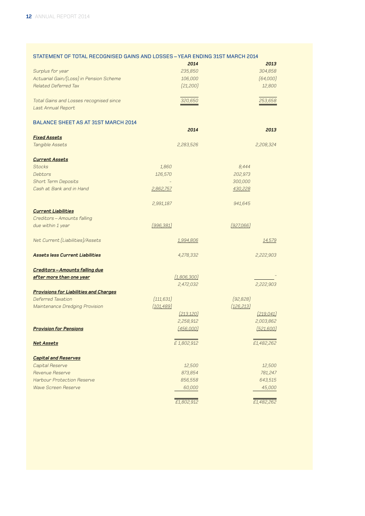| STATEMENT OF TOTAL RECOGNISED GAINS AND LOSSES - YEAR ENDING 31ST MARCH 2014 |  |  |
|------------------------------------------------------------------------------|--|--|
|------------------------------------------------------------------------------|--|--|

|                                               | 2014        | 2013       |
|-----------------------------------------------|-------------|------------|
| Surplus for year                              | 235,850     | 304,858    |
| Actuarial Gain/(Loss) in Pension Scheme       | 106,000     | (64,000)   |
| Related Deferred Tax                          | [21, 200]   | 12,800     |
| Total Gains and Losses recognised since       | 320,650     | 253,658    |
| Last Annual Report                            |             |            |
|                                               |             |            |
| <b>BALANCE SHEET AS AT 31ST MARCH 2014</b>    | 2014        | 2013       |
| <b>Fixed Assets</b>                           |             |            |
| Tangible Assets                               | 2,283,526   | 2,208,324  |
| <b>Current Assets</b>                         |             |            |
| <b>Stocks</b>                                 | 1,860       | 8,444      |
| Debtors                                       | 126,570     | 202,973    |
| <b>Short Term Deposits</b>                    |             | 300,000    |
| Cash at Bank and in Hand                      | 2,862,757   | 430,228    |
|                                               | 2,991,187   | 941,645    |
| <b>Current Liabilities</b>                    |             |            |
| Creditors - Amounts falling                   |             |            |
| due within 1 year                             | [996, 381]  | [927,066]  |
| Net Current (Liabilities)/Assets              | 1,994,806   | 14,579     |
| <b>Assets less Current Liabilities</b>        | 4,278,332   | 2,222,903  |
| Creditors-Amounts falling due                 |             |            |
| after more than one year                      | (1,806,300) |            |
|                                               | 2,472,032   | 2,222,903  |
| <b>Provisions for Liabilities and Charges</b> |             |            |
| Deferred Taxation                             | (111, 631)  | (92, 828)  |
| Maintenance Dredging Provision                | (101, 489)  | (126, 213) |
|                                               | [213, 120]  | [219, 041] |
|                                               | 2,258,912   | 2,003,862  |
| <b>Provision for Pensions</b>                 | (456,000)   | [521,600]  |
| <u>Net Assets</u>                             | £1,802,912  | £1,482,262 |
| <b>Capital and Reserves</b>                   |             |            |
| Capital Reserve                               | 12,500      | 12,500     |
| Revenue Reserve                               | 873,854     | 781,247    |
| <b>Harbour Protection Reserve</b>             | 856,558     | 643,515    |
| <b>Wave Screen Reserve</b>                    | 60,000      | 45,000     |
|                                               | £1,802,912  | £1,482,262 |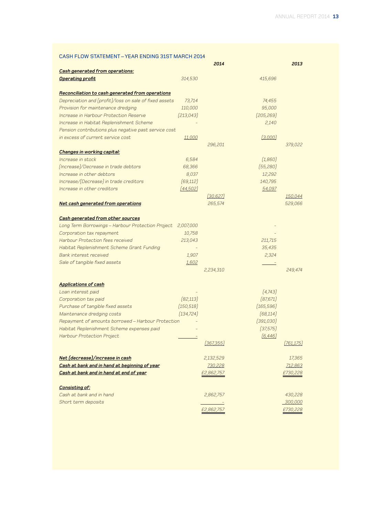### CASH FLOW STATEMENT – YEAR ENDING 31ST MARCH 2014

|                                                        |               | 2014       |            | 2013           |
|--------------------------------------------------------|---------------|------------|------------|----------------|
| <b>Cash generated from operations:</b>                 |               |            |            |                |
| <b>Operating profit</b>                                | 314,530       |            | 415,696    |                |
| Reconciliation to cash generated from operations       |               |            |            |                |
| Depreciation and (profit)/loss on sale of fixed assets | 73,714        |            | 74,455     |                |
| Provision for maintenance dredging                     | 110,000       |            | 95,000     |                |
| Increase in Harbour Protection Reserve                 | [213, 043]    |            | (205, 269) |                |
| Increase in Habitat Replenishment Scheme               |               |            | 2,140      |                |
| Pension contributions plus negative past service cost  |               |            |            |                |
| in excess of current service cost                      | <u>11,000</u> |            | (3,000)    |                |
|                                                        |               | 296,201    |            | 379,022        |
| Changes in working capital:                            |               |            |            |                |
| Increase in stock                                      | 6,584         |            | (1,860)    |                |
| (Increase)/Decrease in trade debtors                   | 68,366        |            | (55, 280)  |                |
| Increase in other debtors                              | 8,037         |            | 12,292     |                |
| Increase/(Decrease) in trade creditors                 | (69, 112)     |            | 140,795    |                |
| Increase in other creditors                            | [44,502]      |            | 54,097     |                |
|                                                        |               | [30, 627]  |            | 150,044        |
| Net cash generated from operations                     |               | 265,574    |            | 529,066        |
|                                                        |               |            |            |                |
| Cash generated from other sources                      |               |            |            |                |
| Long Term Borrowings - Harbour Protection Project      | 2,007,000     |            |            |                |
| Corporation tax repayment                              | 10,758        |            |            |                |
| Harbour Protection fees received                       | 213,043       |            | 211,715    |                |
| Habitat Replenishment Scheme Grant Funding             |               |            | 35,435     |                |
| Bank interest received                                 | 1,907         |            | 2,324      |                |
| Sale of tangible fixed assets                          | 1,602         |            |            |                |
|                                                        |               | 2,234,310  |            | 249,474        |
| <b>Applications of cash</b>                            |               |            |            |                |
| Loan interest paid                                     |               |            | (4, 743)   |                |
| Corporation tax paid                                   | [82, 113]     |            | (87, 671)  |                |
| Purchase of tangible fixed assets                      | (150, 518)    |            | (165, 596) |                |
| Maintenance dredging costs                             | (134, 724)    |            | (68, 114)  |                |
| Repayment of amounts borrowed - Harbour Protection     |               |            | (391,030)  |                |
| Habitat Replenishment Scheme expenses paid             |               |            | (37, 575)  |                |
| Harbour Protection Project                             |               |            | [6, 446]   |                |
|                                                        |               | [367,355]  |            | [761, 175]     |
| Net (decrease)/increase in cash                        |               | 2,132,529  |            | 17,365         |
| Cash at bank and in hand at beginning of year          |               | 730,228    |            | 712,863        |
| Cash at bank and in hand at end of year                |               | £2,862,757 |            | £730,228       |
| <b>Consisting of:</b>                                  |               |            |            |                |
| Cash at bank and in hand                               |               | 2,862,757  |            | 430,228        |
| Short term deposits                                    |               |            |            | <u>300,000</u> |
|                                                        |               | £2,862,757 |            | £730,228       |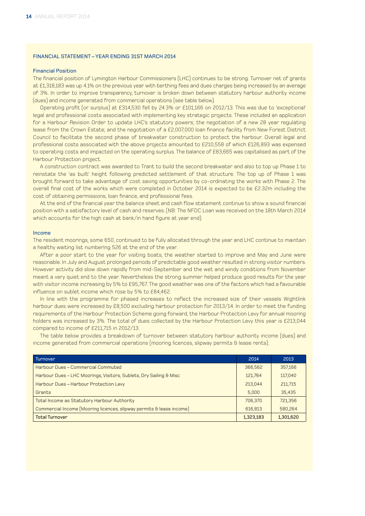### FINANCIAL STATEMENT – YEAR ENDING 31ST MARCH 2014

### Financial Position

The financial position of Lymington Harbour Commissioners (LHC) continues to be strong. Turnover net of grants at £1,318,183 was up 4.1% on the previous year with berthing fees and dues charges being increased by an average of 3%. In order to improve transparency, turnover is broken down between statutory harbour authority income (dues) and income generated from commercial operations (see table below).

Operating profit (or surplus) at £314,530 fell by 24.3% or £101,166 on 2012/13. This was due to 'exceptional' legal and professional costs associated with implementing key strategic projects. These included an application for a Harbour Revision Order to update LHC's statutory powers; the negotiation of a new 28 year regulating lease from the Crown Estate; and the negotiation of a £2,007,000 loan finance facility from New Forest District Council to facilitate the second phase of breakwater construction to protect the harbour. Overall legal and professional costs associated with the above projects amounted to £210,558 of which £126,893 was expensed to operating costs and impacted on the operating surplus. The balance of £83,665 was capitalised as part of the Harbour Protection project.

A construction contract was awarded to Trant to build the second breakwater and also to top up Phase 1 to reinstate the 'as built' height following predicted settlement of that structure. The top up of Phase 1 was brought forward to take advantage of cost saving opportunities by co-ordinating the works with Phase 2. The overall final cost of the works which were completed in October 2014 is expected to be £2.32m including the cost of obtaining permissions, loan finance, and professional fees.

At the end of the financial year the balance sheet and cash flow statement continue to show a sound financial position with a satisfactory level of cash and reserves. (NB: The NFDC Loan was received on the 18th March 2014 which accounts for the high cash at bank/in hand figure at year end).

#### Income

The resident moorings, some 650, continued to be fully allocated through the year and LHC continue to maintain a healthy waiting list numbering 526 at the end of the year.

After a poor start to the year for visiting boats, the weather started to improve and May and June were reasonable. In July and August prolonged periods of predictable good weather resulted in strong visitor numbers. However activity did slow down rapidly from mid-September and the wet and windy conditions from November meant a very quiet end to the year. Nevertheless the strong summer helped produce good results for the year with visitor income increasing by 5% to £95,767. The good weather was one of the factors which had a favourable influence on sublet income which rose by 5% to £84,462.

In line with the programme for phased increases to reflect the increased size of their vessels Wightlink harbour dues were increased by £8,500 excluding harbour protection for 2013/14. In order to meet the funding requirements of the Harbour Protection Scheme going forward, the Harbour Protection Levy for annual mooring holders was increased by 3%. The total of dues collected by the Harbour Protection Levy this year is £213,044 compared to income of £211,715 in 2012/13.

The table below provides a breakdown of turnover between statutory harbour authority income (dues) and income generated from commercial operations (mooring licences, slipway permits & lease rents).

| Turnover                                                             | 2014      | 2013      |
|----------------------------------------------------------------------|-----------|-----------|
| Harbour Dues - Commercial Commuted                                   | 366,562   | 357,166   |
| Harbour Dues - LHC Moorings, Visitors, Sublets, Dry Sailing & Misc   | 121,764   | 117,040   |
| Harbour Dues - Harbour Protection Levy                               | 213,044   | 211,715   |
| Grants                                                               | 5.000     | 35,435    |
| Total Income as Statutory Harbour Authority                          | 706,370   | 721,356   |
| Commercial Income (Mooring licences, slipway permits & lease income) | 616,813   | 580.264   |
| <b>Total Turnover</b>                                                | 1,323,183 | 1,301,620 |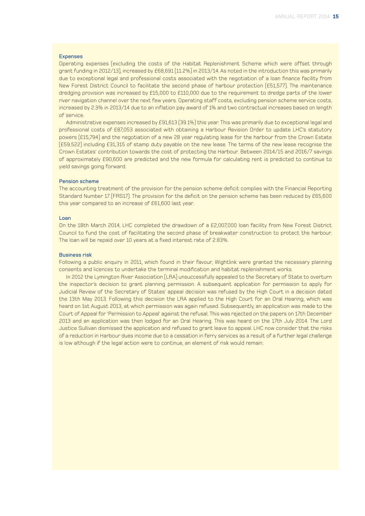### Expenses

Operating expenses (excluding the costs of the Habitat Replenishment Scheme which were offset through grant funding in 2012/13), increased by £68,691 (11.2%) in 2013/14. As noted in the introduction this was primarily due to exceptional legal and professional costs associated with the negotiation of a loan finance facility from New Forest District Council to facilitate the second phase of harbour protection (£51,577). The maintenance dredging provision was increased by £15,000 to £110,000 due to the requirement to dredge parts of the lower river navigation channel over the next few years. Operating staff costs, excluding pension scheme service costs, increased by 2.3% in 2013/14 due to an inflation pay award of 1% and two contractual increases based on length of service.

Administrative expenses increased by £91,613 (39.1%) this year. This was primarily due to exceptional legal and professional costs of £87,053 associated with obtaining a Harbour Revision Order to update LHC's statutory powers (£15,794) and the negotiation of a new 28 year regulating lease for the harbour from the Crown Estate (£59,522) including £31,315 of stamp duty payable on the new lease. The terms of the new lease recognise the Crown Estates' contribution towards the cost of protecting the Harbour. Between 2014/15 and 2016/7 savings of approximately £90,600 are predicted and the new formula for calculating rent is predicted to continue to yield savings going forward.

#### Pension scheme

The accounting treatment of the provision for the pension scheme deficit complies with the Financial Reporting Standard Number 17 (FRS17). The provision for the deficit on the pension scheme has been reduced by £65,600 this year compared to an increase of £61,600 last year.

#### Loan

On the 18th March 2014, LHC completed the drawdown of a £2,007,000 loan facility from New Forest District Council to fund the cost of facilitating the second phase of breakwater construction to protect the harbour. The loan will be repaid over 10 years at a fixed interest rate of 2.83%.

### Business risk

Following a public enquiry in 2011, which found in their favour, Wightlink were granted the necessary planning consents and licences to undertake the terminal modification and habitat replenishment works.

In 2012 the Lymington River Association (LRA) unsuccessfully appealed to the Secretary of State to overturn the inspector's decision to grant planning permission. A subsequent application for permission to apply for Judicial Review of the Secretary of States' appeal decision was refused by the High Court in a decision dated the 13th May 2013. Following this decision the LRA applied to the High Court for an Oral Hearing, which was heard on 1st August 2013, at which permission was again refused. Subsequently, an application was made to the Court of Appeal for 'Permission to Appeal' against the refusal. This was rejected on the papers on 17th December 2013 and an application was then lodged for an Oral Hearing. This was heard on the 17th July 2014. The Lord Justice Sullivan dismissed the application and refused to grant leave to appeal. LHC now consider that the risks of a reduction in Harbour dues income due to a cessation in ferry services as a result of a further legal challenge is low although if the legal action were to continue, an element of risk would remain.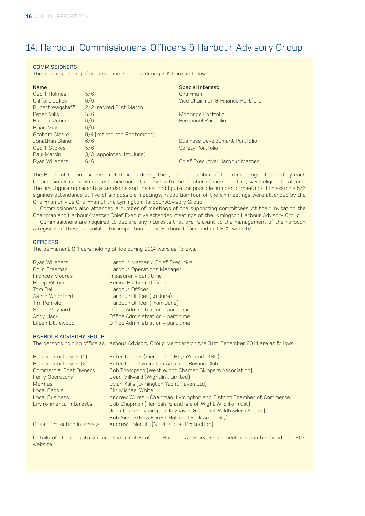# 14: Harbour Commissioners, Officers & Harbour Advisory Group

### **COMMISSIONERS**

The persons holding office as Commissioners during 2014 are as follows:

| <b>Name</b>           |                             | <b>Special Interest</b>               |
|-----------------------|-----------------------------|---------------------------------------|
| Geoff Holmes          | 5/6                         | Chairman                              |
| Clifford Jakes        | 6/6                         | Vice Chairman & Finance Portfolio     |
| Rupert Wagstaff       | 2/2 (retired 31st March)    |                                       |
| Peter Mills           | 5/6                         | Moorings Portfolio                    |
| <b>Richard Jenner</b> | 6/6                         | Personnel Portfolio                   |
| <b>Brian May</b>      | 6/6                         |                                       |
| Graham Clarke         | 0/4 (retired 4th September) |                                       |
| Jonathan Shiner       | 6/6                         | <b>Business Development Portfolio</b> |
| Geoff Stokes          | 5/6                         | Safety Portfolio                      |
| Paul Martin           | 3/3 (appointed 1st June)    |                                       |
| <b>Ryan Willegers</b> | 6/6                         | Chief Executive/Harbour Master        |
|                       |                             |                                       |

The Board of Commissioners met 6 times during the year. The number of board meetings attended by each Commissioner is shown against their name together with the number of meetings they were eligible to attend. The first figure represents attendance and the second figure the possible number of meetings. For example 5/6 signifies attendance at five of six possible meetings. In addition four of the six meetings were attended by the Chairman or Vice Chairman of the Lymington Harbour Advisory Group.

Commissioners also attended a number of meetings of the supporting committees. At their invitation the Chairman and Harbour/Master Chief Executive attended meetings of the Lymington Harbour Advisory Group.

Commissioners are required to declare any interests that are relevant to the management of the harbour. A register of these is available for inspection at the Harbour Office and on LHC's website.

#### **OFFICERS**

The permanent Officers holding office during 2014 were as follows:

| <b>Ryan Willegers</b> | Harbour Master / Chief Executive  |
|-----------------------|-----------------------------------|
| Colin Freeman         | Harbour Operations Manager        |
| <b>Frances Moores</b> | Treasurer - part time             |
| Phillip Pitman        | Senior Harbour Officer            |
| Tom Bell              | Harbour Officer                   |
| Aaron Woodford        | Harbour Officer (to June)         |
| <b>Tim Penfold</b>    | Harbour Officer (from June)       |
| Sarah Maynard         | Office Administration - part time |
| Andy Hack             | Office Administration - part time |
| Eileen Littlewood     | Office Administration - part time |

#### HARBOUR ADVISORY GROUP

The persons holding office as Harbour Advisory Group Members on the 31st December 2014 are as follows:

| Recreational Users (1)            | Peter Upcher (member of RLymYC and LTSC)                              |
|-----------------------------------|-----------------------------------------------------------------------|
| Recreational Users (2)            | Peter Lock (Lymington Amateur Rowing Club)                            |
| <b>Commercial Boat Owners</b>     | Rob Thompson (West Wight Charter Skippers Association)                |
| <b>Ferry Operators</b>            | Sean Millward (Wightlink Limited)                                     |
| <b>Marinas</b>                    | Dylan Kalis (Lymington Yacht Haven Ltd)                               |
| Local People                      | Cllr Michael White                                                    |
| <b>Local Business</b>             | Andrew Wilkes - Chairman (Lymington and District Chamber of Commerce) |
| Environmental Interests           | Bob Chapman (Hampshire and Isle of Wight Wildlife Trust)              |
|                                   | John Clarke (Lymington, Keyhaven & District Wildfowlers Assoc.)       |
|                                   | Rob Ainslie (New Forest National Park Authority)                      |
| <b>Coast Protection Interests</b> | Andrew Colenutt (NFDC Coast Protection)                               |

Details of the constitution and the minutes of the Harbour Advisory Group meetings can be found on LHC's website.